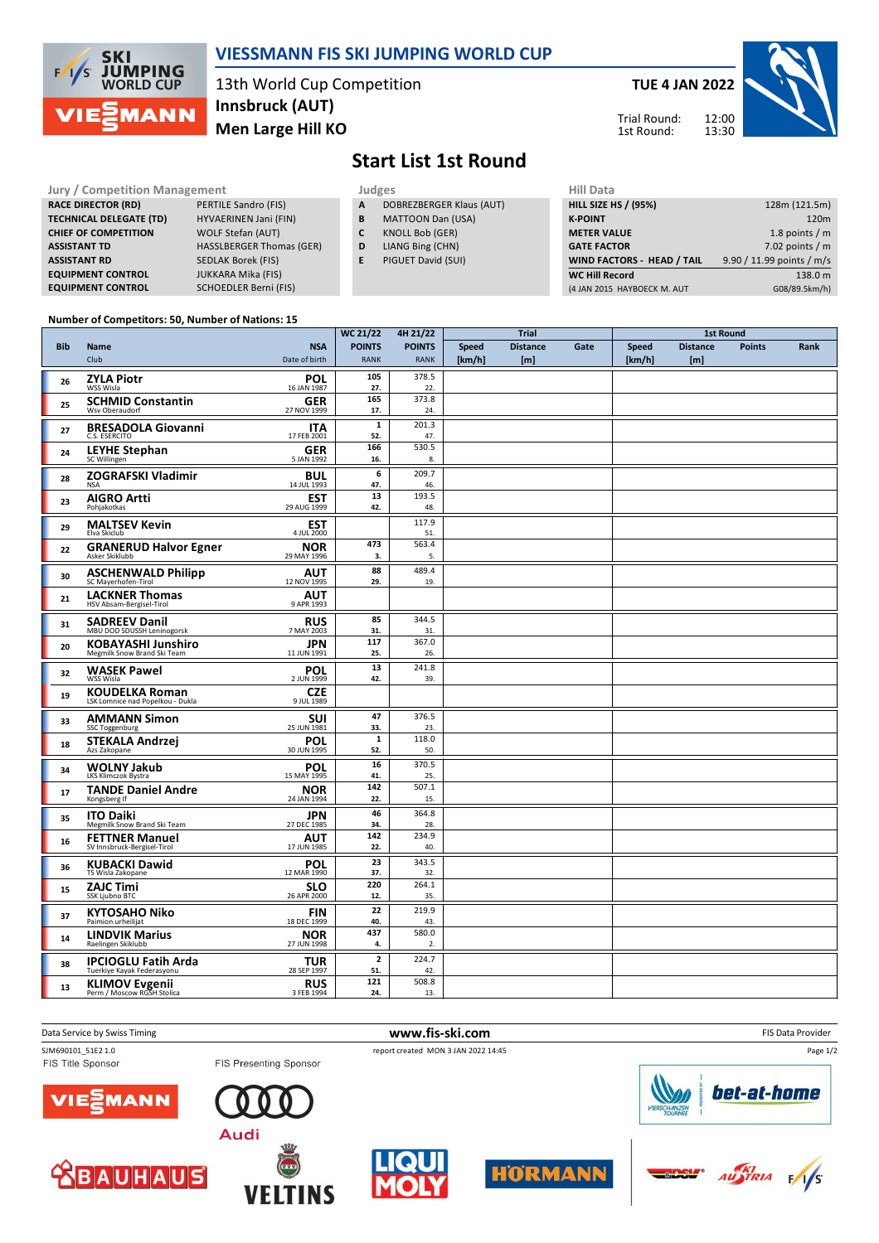

## **VIESSMANN FIS SKI JUMPING WORLD CUP**

13th World Cup Competition **Men Large Hill KO Innsbruck (AUT)**

**TUE 4 JAN 2022**

12:00 13:30



Trial Round: 1st Round:

# **Start List 1st Round**

Jury / Competition Management<br>**RACE DIRECTOR (RD)** PERTILE Sandro (FIS) **A** DOBREZBERGER Klaus (AUT) **HILL SIZE HILL SIZE RACE DIRECTOR (RD) TECHNICAL DELEGATE (TD)** HYVAERINEN Jani (FIN) **CHIEF OF COMPETITION** WOLF Stefan (AUT) **ASSISTANT TD** HASSLBERGER Thomas (GER) **ASSISTANT RD** SEDLAK Borek (FIS) **EQUIPMENT CONTROL** JUKKARA Mika (FIS) **EQUIPMENT CONTROL** 

- **A** DOBREZBERGER Klaus (AUT)
- **B** MATTOON Dan (USA)
- **C** KNOLL Bob (GER)
- **D** LIANG Bing (CHN)
- **E** PIGUET David (SUI)

| 11111 <i>Data</i>           |                           |
|-----------------------------|---------------------------|
| <b>HILL SIZE HS / (95%)</b> | 128m (121.5m)             |
| <b>K-POINT</b>              | 120 <sub>m</sub>          |
| <b>METER VALUE</b>          | 1.8 points $/m$           |
| <b>GATE FACTOR</b>          | 7.02 points $/m$          |
| WIND FACTORS - HEAD / TAIL  | 9.90 / 11.99 points / m/s |
| <b>WC Hill Record</b>       | 138.0 m                   |
| (4 JAN 2015 HAYBOECK M. AUT | G08/89.5km/h)             |
|                             |                           |

#### **Number of Competitors: 50, Number of Nations: 15**

|            |                                                           |                             | <b>WC 21/22</b>              | 4H 21/22                     | <b>Trial</b>           |                         | <b>1st Round</b> |                        |                         |               |      |
|------------|-----------------------------------------------------------|-----------------------------|------------------------------|------------------------------|------------------------|-------------------------|------------------|------------------------|-------------------------|---------------|------|
| <b>Bib</b> | Name<br>Club                                              | <b>NSA</b><br>Date of birth | <b>POINTS</b><br><b>RANK</b> | <b>POINTS</b><br><b>RANK</b> | <b>Speed</b><br>[km/h] | <b>Distance</b><br>[ml] | Gate             | <b>Speed</b><br>[km/h] | <b>Distance</b><br>[ml] | <b>Points</b> | Rank |
| 26         | <b>ZYLA Piotr</b><br>WSS Wisla                            | POL<br>16 JAN 1987          | 105<br>27.                   | 378.5<br>22.                 |                        |                         |                  |                        |                         |               |      |
| 25         | <b>SCHMID Constantin</b><br>Wsv Oberaudorf                | <b>GER</b><br>27 NOV 1999   | 165<br>17.                   | 373.8<br>24.                 |                        |                         |                  |                        |                         |               |      |
| 27         | <b>BRESADOLA Giovanni</b><br>C.S. ESERCITO                | ITA<br>17 FEB 2001          | 1<br>52.                     | 201.3<br>47.                 |                        |                         |                  |                        |                         |               |      |
| 24         | <b>LEYHE Stephan</b><br>SC Willingen                      | <b>GER</b><br>5 JAN 1992    | 166<br>16.                   | 530.5<br>8.                  |                        |                         |                  |                        |                         |               |      |
| 28         | <b>ZOGRAFSKI Vladimir</b><br><b>NSA</b>                   | <b>BUL</b><br>14 JUL 1993   | 6<br>47.                     | 209.7<br>46.                 |                        |                         |                  |                        |                         |               |      |
| 23         | <b>AIGRO Artti</b><br>Pohjakotkas                         | EST<br>29 AUG 1999          | 13<br>42.                    | 193.5<br>48.                 |                        |                         |                  |                        |                         |               |      |
| 29         | <b>MALTSEV Kevin</b><br>Elva Skiclub                      | <b>EST</b><br>4 JUL 2000    |                              | 117.9<br>51.                 |                        |                         |                  |                        |                         |               |      |
| 22         | <b>GRANERUD Halvor Egner</b><br>Asker Skiklubb            | <b>NOR</b><br>29 MAY 1996   | 473<br>3.                    | 563.4<br>5.                  |                        |                         |                  |                        |                         |               |      |
| 30         | <b>ASCHENWALD Philipp</b><br>SC Mayerhofen-Tirol          | <b>AUT</b><br>12 NOV 1995   | 88<br>29.                    | 489.4<br>19.                 |                        |                         |                  |                        |                         |               |      |
| 21         | <b>LACKNER Thomas</b><br>HSV Absam-Bergisel-Tirol         | <b>AUT</b><br>9 APR 1993    |                              |                              |                        |                         |                  |                        |                         |               |      |
| 31         | <b>SADREEV Danil</b><br>MBU DOD SDUSSH Leninogorsk        | <b>RUS</b><br>7 MAY 2003    | 85<br>31.                    | 344.5<br>31.                 |                        |                         |                  |                        |                         |               |      |
| 20         | <b>KOBAYASHI Junshiro</b><br>Megmilk Snow Brand Ski Team  | <b>JPN</b><br>11 JUN 1991   | 117<br>25.                   | 367.0<br>26.                 |                        |                         |                  |                        |                         |               |      |
| 32         | <b>WASEK Pawel</b><br>WSS Wisla                           | <b>POL</b><br>2 JUN 1999    | 13<br>42.                    | 241.8<br>39.                 |                        |                         |                  |                        |                         |               |      |
| 19         | <b>KOUDELKA Roman</b><br>LSK Lomnice nad Popelkou - Dukla | <b>CZE</b><br>9 JUL 1989    |                              |                              |                        |                         |                  |                        |                         |               |      |
| 33         | <b>AMMANN Simon</b><br>SSC Toggenburg                     | <b>SUI</b><br>25 JUN 1981   | 47<br>33.                    | 376.5<br>23.                 |                        |                         |                  |                        |                         |               |      |
| 18         | <b>STEKALA Andrzej</b><br>Azs Zakopane                    | <b>POL</b><br>30 JUN 1995   | $\mathbf{1}$<br>52.          | 118.0<br>50.                 |                        |                         |                  |                        |                         |               |      |
| 34         | <b>WOLNY Jakub</b><br>LKS Klimczok Bystra                 | <b>POL</b><br>15 MAY 1995   | 16<br>41.                    | 370.5<br>25.                 |                        |                         |                  |                        |                         |               |      |
| 17         | <b>TANDE Daniel Andre</b><br>Kongsberg If                 | <b>NOR</b><br>24 JAN 1994   | 142<br>22.                   | 507.1<br>15.                 |                        |                         |                  |                        |                         |               |      |
| 35         | <b>ITO Daiki</b><br>Megmilk Snow Brand Ski Team           | <b>JPN</b><br>27 DEC 1985   | 46<br>34.                    | 364.8<br>28.                 |                        |                         |                  |                        |                         |               |      |
| 16         | <b>FETTNER Manuel</b><br>SV Innsbruck-Bergisel-Tirol      | AUT<br>17 JUN 1985          | 142<br>22.                   | 234.9<br>40.                 |                        |                         |                  |                        |                         |               |      |
| 36         | <b>KUBACKI Dawid</b><br>TS Wisla Zakopane                 | <b>POL</b><br>12 MAR 1990   | 23<br>37.                    | 343.5<br>32.                 |                        |                         |                  |                        |                         |               |      |
| 15         | <b>ZAJC Timi</b><br>SSK Ljubno BTC                        | <b>SLO</b><br>26 APR 2000   | 220<br>12.                   | 264.1<br>35.                 |                        |                         |                  |                        |                         |               |      |
| 37         | <b>KYTOSAHO Niko</b><br>Paimion urheilijat                | <b>FIN</b><br>18 DEC 1999   | 22<br>40.                    | 219.9<br>43.                 |                        |                         |                  |                        |                         |               |      |
| 14         | <b>LINDVIK Marius</b><br>Raelingen Skiklubb               | <b>NOR</b><br>27 JUN 1998   | 437<br>4.                    | 580.0<br>2.                  |                        |                         |                  |                        |                         |               |      |
| 38         | <b>IPCIOGLU Fatih Arda</b><br>Tuerkiye Kayak Federasyonu  | TUR<br>28 SEP 1997          | $\mathbf 2$<br>51.           | 224.7<br>42.                 |                        |                         |                  |                        |                         |               |      |
| 13         | <b>KLIMOV Evgenii</b><br>Perm / Moscow RGSH Stolica       | <b>RUS</b><br>3 FEB 1994    | 121<br>24.                   | 508.8<br>13.                 |                        |                         |                  |                        |                         |               |      |

Data Service by Swiss Timing **WWW.fis-Ski.com www.fis-Ski.com WWW.fis-Ski.com FIS Data Provider** SJM690101\_51E2 1.0 report created MON 3 JAN 2022 14:45 Page 1/2FIS Title Sponsor FIS Presenting Sponsor bet-at-home MANN TE) Audi